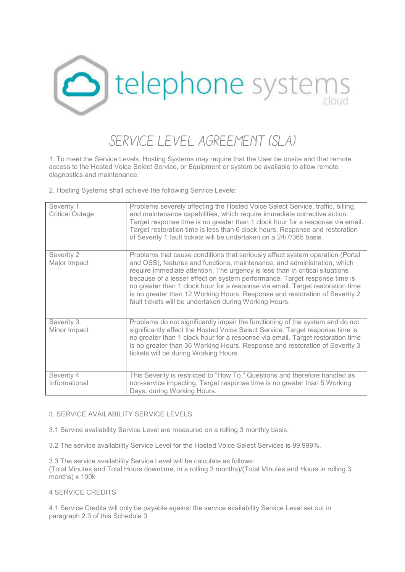

## *SERVICE LEVEL AGREEMENT (SLA)*

1. To meet the Service Levels, Hosting Systems may require that the User be onsite and that remote access to the Hosted Voice Select Service, or Equipment or system be available to allow remote diagnostics and maintenance.

2. Hosting Systems shall achieve the following Service Levels:

| Severity 1<br><b>Critical Outage</b> | Problems severely affecting the Hosted Voice Select Service, traffic, billing,<br>and maintenance capabilities, which require immediate corrective action.<br>Target response time is no greater than 1 clock hour for a response via email.<br>Target restoration time is less than 6 clock hours. Response and restoration<br>of Severity 1 fault tickets will be undertaken on a 24/7/365 basis.                                                                                                                                               |
|--------------------------------------|---------------------------------------------------------------------------------------------------------------------------------------------------------------------------------------------------------------------------------------------------------------------------------------------------------------------------------------------------------------------------------------------------------------------------------------------------------------------------------------------------------------------------------------------------|
| Severity 2<br>Major Impact           | Problems that cause conditions that seriously affect system operation (Portal<br>and OSS), features and functions, maintenance, and administration, which<br>require immediate attention. The urgency is less than in critical situations<br>because of a lesser effect on system performance. Target response time is<br>no greater than 1 clock hour for a response via email. Target restoration time<br>is no greater than 12 Working Hours. Response and restoration of Severity 2<br>fault tickets will be undertaken during Working Hours. |
| Severity 3<br>Minor Impact           | Problems do not significantly impair the functioning of the system and do not<br>significantly affect the Hosted Voice Select Service. Target response time is<br>no greater than 1 clock hour for a response via email. Target restoration time<br>is no greater than 36 Working Hours. Response and restoration of Severity 3<br>tickets will be during Working Hours.                                                                                                                                                                          |
| Severity 4<br>Informational          | This Severity is restricted to "How To." Questions and therefore handled as<br>non-service impacting. Target response time is no greater than 5 Working<br>Days, during Working Hours.                                                                                                                                                                                                                                                                                                                                                            |

## 3. SERVICE AVAILABILITY SERVICE LEVELS

3.1 Service availability Service Level are measured on a rolling 3 monthly basis.

3.2 The service availability Service Level for the Hosted Voice Select Services is 99.999%.

3.3 The service availability Service Level will be calculate as follows:

(Total Minutes and Total Hours downtime, in a rolling 3 months)/(Total Minutes and Hours in rolling 3 months) x 100k

## 4 SERVICE CREDITS

4.1 Service Credits will only be payable against the service availability Service Level set out in paragraph 2.3 of this Schedule 3